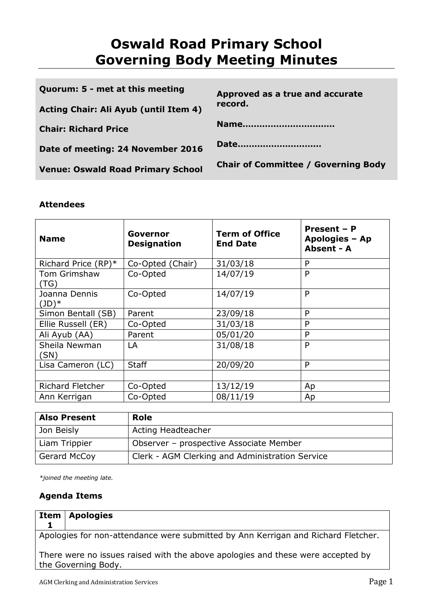# **Oswald Road Primary School Governing Body Meeting Minutes**

| Quorum: 5 - met at this meeting          | Approved as a true and accurate            |  |
|------------------------------------------|--------------------------------------------|--|
| Acting Chair: Ali Ayub (until Item 4)    | record.                                    |  |
| <b>Chair: Richard Price</b>              | Name                                       |  |
| Date of meeting: 24 November 2016        | Date                                       |  |
| <b>Venue: Oswald Road Primary School</b> | <b>Chair of Committee / Governing Body</b> |  |

# **Attendees**

| <b>Name</b>               | Governor<br><b>Designation</b> | <b>Term of Office</b><br><b>End Date</b> | Present - P<br>Apologies - Ap<br>Absent - A |
|---------------------------|--------------------------------|------------------------------------------|---------------------------------------------|
| Richard Price $(RP)^*$    | Co-Opted (Chair)               | 31/03/18                                 | P                                           |
| Tom Grimshaw<br>(TG)      | Co-Opted                       | 14/07/19                                 | P                                           |
| Joanna Dennis<br>$(JD)^*$ | Co-Opted                       | 14/07/19                                 | P                                           |
| Simon Bentall (SB)        | Parent                         | 23/09/18                                 | P                                           |
| Ellie Russell (ER)        | Co-Opted                       | 31/03/18                                 | P                                           |
| Ali Ayub (AA)             | Parent                         | 05/01/20                                 | P                                           |
| Sheila Newman<br>(SN)     | LA                             | 31/08/18                                 | P                                           |
| Lisa Cameron (LC)         | <b>Staff</b>                   | 20/09/20                                 | P                                           |
|                           |                                |                                          |                                             |
| <b>Richard Fletcher</b>   | Co-Opted                       | 13/12/19                                 | Ap                                          |
| Ann Kerrigan              | Co-Opted                       | 08/11/19                                 | Ap                                          |

| <b>Also Present</b> | <b>Role</b>                                     |  |
|---------------------|-------------------------------------------------|--|
| Jon Beisly          | Acting Headteacher                              |  |
| Liam Trippier       | Observer - prospective Associate Member         |  |
| Gerard McCoy        | Clerk - AGM Clerking and Administration Service |  |

*\*joined the meeting late.*

# **Agenda Items**

| <b>Item   Apologies</b> |
|-------------------------|
|                         |

Apologies for non-attendance were submitted by Ann Kerrigan and Richard Fletcher.

There were no issues raised with the above apologies and these were accepted by the Governing Body.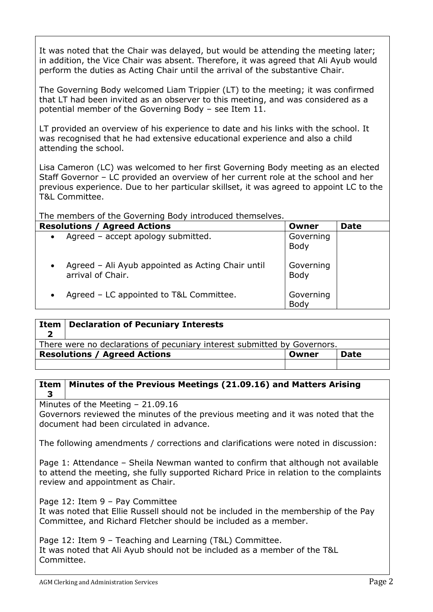It was noted that the Chair was delayed, but would be attending the meeting later; in addition, the Vice Chair was absent. Therefore, it was agreed that Ali Ayub would perform the duties as Acting Chair until the arrival of the substantive Chair.

The Governing Body welcomed Liam Trippier (LT) to the meeting; it was confirmed that LT had been invited as an observer to this meeting, and was considered as a potential member of the Governing Body – see Item 11.

LT provided an overview of his experience to date and his links with the school. It was recognised that he had extensive educational experience and also a child attending the school.

Lisa Cameron (LC) was welcomed to her first Governing Body meeting as an elected Staff Governor – LC provided an overview of her current role at the school and her previous experience. Due to her particular skillset, it was agreed to appoint LC to the T&L Committee.

The members of the Governing Body introduced themselves.

| <b>Resolutions / Agreed Actions</b>                                    | Owner             | <b>Date</b> |
|------------------------------------------------------------------------|-------------------|-------------|
| Agreed - accept apology submitted.<br>$\bullet$                        | Governing<br>Body |             |
| Agreed - Ali Ayub appointed as Acting Chair until<br>arrival of Chair. | Governing<br>Body |             |
| Agreed – LC appointed to T&L Committee.<br>$\bullet$                   | Governing<br>Body |             |

| Item | Declaration of Pecuniary Interests                                       |       |             |
|------|--------------------------------------------------------------------------|-------|-------------|
|      | There were no declarations of pecuniary interest submitted by Governors. |       |             |
|      | <b>Resolutions / Agreed Actions</b>                                      | Owner | <b>Date</b> |
|      |                                                                          |       |             |

#### **Item 3 Minutes of the Previous Meetings (21.09.16) and Matters Arising**

Minutes of the Meeting – 21.09.16

Governors reviewed the minutes of the previous meeting and it was noted that the document had been circulated in advance.

The following amendments / corrections and clarifications were noted in discussion:

Page 1: Attendance – Sheila Newman wanted to confirm that although not available to attend the meeting, she fully supported Richard Price in relation to the complaints review and appointment as Chair.

Page 12: Item 9 – Pay Committee

It was noted that Ellie Russell should not be included in the membership of the Pay Committee, and Richard Fletcher should be included as a member.

Page 12: Item 9 – Teaching and Learning (T&L) Committee. It was noted that Ali Ayub should not be included as a member of the T&L Committee.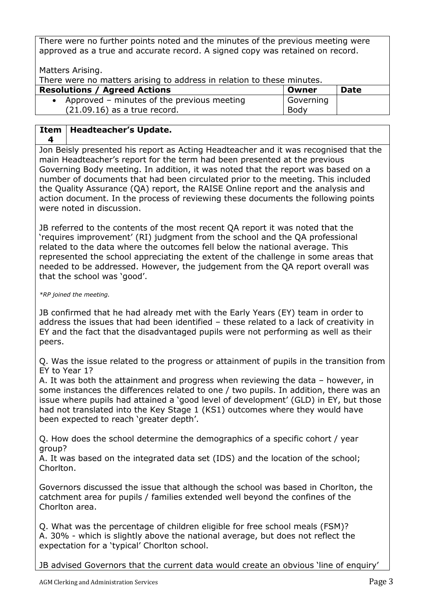There were no further points noted and the minutes of the previous meeting were approved as a true and accurate record. A signed copy was retained on record.

Matters Arising.

There were no matters arising to address in relation to these minutes.

| <b>Resolutions / Agreed Actions</b>          | Owner     | <b>Date</b> |
|----------------------------------------------|-----------|-------------|
| • Approved – minutes of the previous meeting | Governing |             |
| $(21.09.16)$ as a true record.               | Body      |             |

#### **Item Headteacher's Update.**

**4**

Jon Beisly presented his report as Acting Headteacher and it was recognised that the main Headteacher's report for the term had been presented at the previous Governing Body meeting. In addition, it was noted that the report was based on a number of documents that had been circulated prior to the meeting. This included the Quality Assurance (QA) report, the RAISE Online report and the analysis and action document. In the process of reviewing these documents the following points were noted in discussion.

JB referred to the contents of the most recent QA report it was noted that the 'requires improvement' (RI) judgment from the school and the QA professional related to the data where the outcomes fell below the national average. This represented the school appreciating the extent of the challenge in some areas that needed to be addressed. However, the judgement from the QA report overall was that the school was 'good'.

*\*RP joined the meeting.*

JB confirmed that he had already met with the Early Years (EY) team in order to address the issues that had been identified – these related to a lack of creativity in EY and the fact that the disadvantaged pupils were not performing as well as their peers.

Q. Was the issue related to the progress or attainment of pupils in the transition from EY to Year 1?

A. It was both the attainment and progress when reviewing the data – however, in some instances the differences related to one / two pupils. In addition, there was an issue where pupils had attained a 'good level of development' (GLD) in EY, but those had not translated into the Key Stage 1 (KS1) outcomes where they would have been expected to reach 'greater depth'.

Q. How does the school determine the demographics of a specific cohort / year group?

A. It was based on the integrated data set (IDS) and the location of the school; Chorlton.

Governors discussed the issue that although the school was based in Chorlton, the catchment area for pupils / families extended well beyond the confines of the Chorlton area.

Q. What was the percentage of children eligible for free school meals (FSM)? A. 30% - which is slightly above the national average, but does not reflect the expectation for a 'typical' Chorlton school.

JB advised Governors that the current data would create an obvious 'line of enquiry'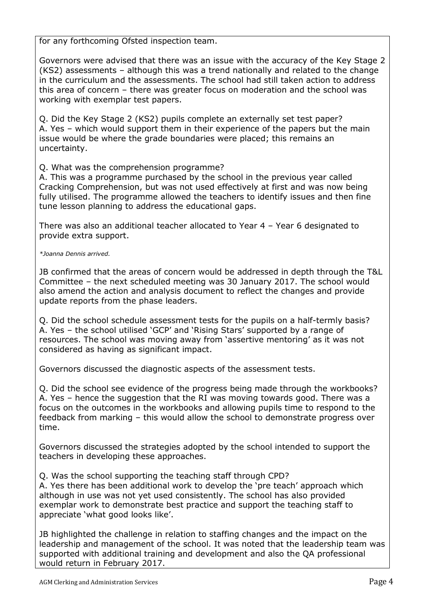for any forthcoming Ofsted inspection team.

Governors were advised that there was an issue with the accuracy of the Key Stage 2 (KS2) assessments – although this was a trend nationally and related to the change in the curriculum and the assessments. The school had still taken action to address this area of concern – there was greater focus on moderation and the school was working with exemplar test papers.

Q. Did the Key Stage 2 (KS2) pupils complete an externally set test paper? A. Yes – which would support them in their experience of the papers but the main issue would be where the grade boundaries were placed; this remains an uncertainty.

Q. What was the comprehension programme?

A. This was a programme purchased by the school in the previous year called Cracking Comprehension, but was not used effectively at first and was now being fully utilised. The programme allowed the teachers to identify issues and then fine tune lesson planning to address the educational gaps.

There was also an additional teacher allocated to Year 4 – Year 6 designated to provide extra support.

*\*Joanna Dennis arrived.*

JB confirmed that the areas of concern would be addressed in depth through the T&L Committee – the next scheduled meeting was 30 January 2017. The school would also amend the action and analysis document to reflect the changes and provide update reports from the phase leaders.

Q. Did the school schedule assessment tests for the pupils on a half-termly basis? A. Yes – the school utilised 'GCP' and 'Rising Stars' supported by a range of resources. The school was moving away from 'assertive mentoring' as it was not considered as having as significant impact.

Governors discussed the diagnostic aspects of the assessment tests.

Q. Did the school see evidence of the progress being made through the workbooks? A. Yes – hence the suggestion that the RI was moving towards good. There was a focus on the outcomes in the workbooks and allowing pupils time to respond to the feedback from marking – this would allow the school to demonstrate progress over time.

Governors discussed the strategies adopted by the school intended to support the teachers in developing these approaches.

Q. Was the school supporting the teaching staff through CPD?

A. Yes there has been additional work to develop the 'pre teach' approach which although in use was not yet used consistently. The school has also provided exemplar work to demonstrate best practice and support the teaching staff to appreciate 'what good looks like'.

JB highlighted the challenge in relation to staffing changes and the impact on the leadership and management of the school. It was noted that the leadership team was supported with additional training and development and also the QA professional would return in February 2017.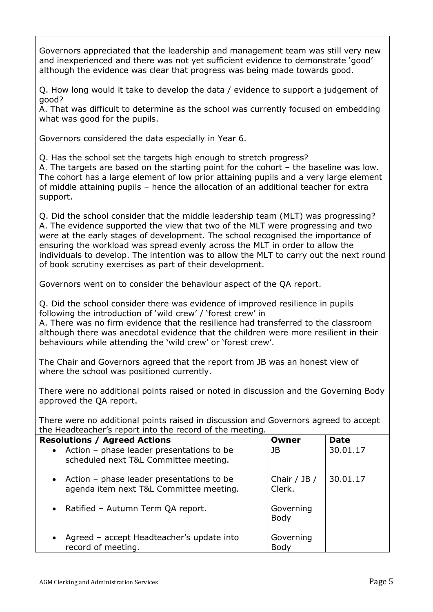Governors appreciated that the leadership and management team was still very new and inexperienced and there was not yet sufficient evidence to demonstrate 'good' although the evidence was clear that progress was being made towards good.

Q. How long would it take to develop the data / evidence to support a judgement of good?

A. That was difficult to determine as the school was currently focused on embedding what was good for the pupils.

Governors considered the data especially in Year 6.

Q. Has the school set the targets high enough to stretch progress?

A. The targets are based on the starting point for the cohort – the baseline was low. The cohort has a large element of low prior attaining pupils and a very large element of middle attaining pupils – hence the allocation of an additional teacher for extra support.

Q. Did the school consider that the middle leadership team (MLT) was progressing? A. The evidence supported the view that two of the MLT were progressing and two were at the early stages of development. The school recognised the importance of ensuring the workload was spread evenly across the MLT in order to allow the individuals to develop. The intention was to allow the MLT to carry out the next round of book scrutiny exercises as part of their development.

Governors went on to consider the behaviour aspect of the QA report.

Q. Did the school consider there was evidence of improved resilience in pupils following the introduction of 'wild crew' / 'forest crew' in

A. There was no firm evidence that the resilience had transferred to the classroom although there was anecdotal evidence that the children were more resilient in their behaviours while attending the 'wild crew' or 'forest crew'.

The Chair and Governors agreed that the report from JB was an honest view of where the school was positioned currently.

There were no additional points raised or noted in discussion and the Governing Body approved the QA report.

There were no additional points raised in discussion and Governors agreed to accept the Headteacher's report into the record of the meeting.

| <b>Resolutions / Agreed Actions</b>                                                    | Owner                      | <b>Date</b> |
|----------------------------------------------------------------------------------------|----------------------------|-------------|
| • Action - phase leader presentations to be<br>scheduled next T&L Committee meeting.   | JB                         | 30.01.17    |
| • Action - phase leader presentations to be<br>agenda item next T&L Committee meeting. | Chair $/$ JB $/$<br>Clerk. | 30.01.17    |
| • Ratified - Autumn Term QA report.                                                    | Governing<br><b>Body</b>   |             |
| Agreed - accept Headteacher's update into<br>record of meeting.                        | Governing<br>Body          |             |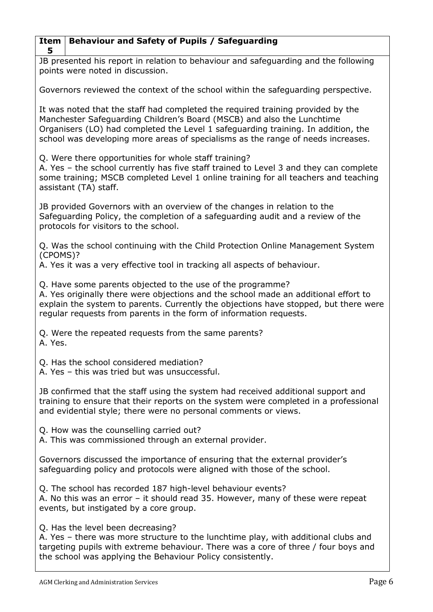| 5                                                                                                                                                                                                                                                                                                                                  |
|------------------------------------------------------------------------------------------------------------------------------------------------------------------------------------------------------------------------------------------------------------------------------------------------------------------------------------|
| JB presented his report in relation to behaviour and safeguarding and the following<br>points were noted in discussion.                                                                                                                                                                                                            |
| Governors reviewed the context of the school within the safeguarding perspective.                                                                                                                                                                                                                                                  |
| It was noted that the staff had completed the required training provided by the<br>Manchester Safeguarding Children's Board (MSCB) and also the Lunchtime<br>Organisers (LO) had completed the Level 1 safeguarding training. In addition, the<br>school was developing more areas of specialisms as the range of needs increases. |
| Q. Were there opportunities for whole staff training?<br>A. Yes - the school currently has five staff trained to Level 3 and they can complete<br>some training; MSCB completed Level 1 online training for all teachers and teaching<br>assistant (TA) staff.                                                                     |
| JB provided Governors with an overview of the changes in relation to the<br>Safeguarding Policy, the completion of a safeguarding audit and a review of the<br>protocols for visitors to the school.                                                                                                                               |
| Q. Was the school continuing with the Child Protection Online Management System                                                                                                                                                                                                                                                    |
| (CPOMS)?<br>A. Yes it was a very effective tool in tracking all aspects of behaviour.                                                                                                                                                                                                                                              |
| Q. Have some parents objected to the use of the programme?<br>A. Yes originally there were objections and the school made an additional effort to<br>explain the system to parents. Currently the objections have stopped, but there we<br>regular requests from parents in the form of information requests.                      |
| Q. Were the repeated requests from the same parents?<br>A. Yes.                                                                                                                                                                                                                                                                    |
| Q. Has the school considered mediation?<br>A. Yes - this was tried but was unsuccessful.                                                                                                                                                                                                                                           |
| JB confirmed that the staff using the system had received additional support and<br>training to ensure that their reports on the system were completed in a professiona<br>and evidential style; there were no personal comments or views.                                                                                         |
| Q. How was the counselling carried out?<br>A. This was commissioned through an external provider.                                                                                                                                                                                                                                  |
| Governors discussed the importance of ensuring that the external provider's<br>safeguarding policy and protocols were aligned with those of the school.                                                                                                                                                                            |
| Q. The school has recorded 187 high-level behaviour events?<br>A. No this was an error – it should read 35. However, many of these were repeat<br>events, but instigated by a core group.                                                                                                                                          |
| Q. Has the level been decreasing?<br>A. Yes - there was more structure to the lunchtime play, with additional clubs and<br>targeting pupils with extreme behaviour. There was a core of three / four boys and<br>the school was applying the Behaviour Policy consistently.                                                        |
|                                                                                                                                                                                                                                                                                                                                    |

**Behaviour and Safety of Pupils / Safeguarding**

**Item**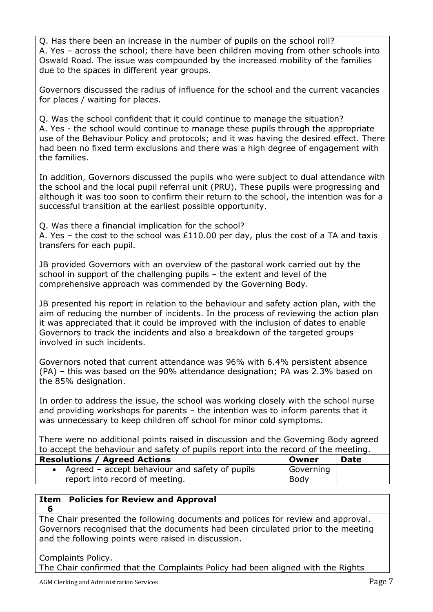Q. Has there been an increase in the number of pupils on the school roll? A. Yes – across the school; there have been children moving from other schools into Oswald Road. The issue was compounded by the increased mobility of the families due to the spaces in different year groups.

Governors discussed the radius of influence for the school and the current vacancies for places / waiting for places.

Q. Was the school confident that it could continue to manage the situation? A. Yes - the school would continue to manage these pupils through the appropriate use of the Behaviour Policy and protocols; and it was having the desired effect. There had been no fixed term exclusions and there was a high degree of engagement with the families.

In addition, Governors discussed the pupils who were subject to dual attendance with the school and the local pupil referral unit (PRU). These pupils were progressing and although it was too soon to confirm their return to the school, the intention was for a successful transition at the earliest possible opportunity.

Q. Was there a financial implication for the school?

A. Yes – the cost to the school was £110.00 per day, plus the cost of a TA and taxis transfers for each pupil.

JB provided Governors with an overview of the pastoral work carried out by the school in support of the challenging pupils – the extent and level of the comprehensive approach was commended by the Governing Body.

JB presented his report in relation to the behaviour and safety action plan, with the aim of reducing the number of incidents. In the process of reviewing the action plan it was appreciated that it could be improved with the inclusion of dates to enable Governors to track the incidents and also a breakdown of the targeted groups involved in such incidents.

Governors noted that current attendance was 96% with 6.4% persistent absence (PA) – this was based on the 90% attendance designation; PA was 2.3% based on the 85% designation.

In order to address the issue, the school was working closely with the school nurse and providing workshops for parents – the intention was to inform parents that it was unnecessary to keep children off school for minor cold symptoms.

There were no additional points raised in discussion and the Governing Body agreed to accept the behaviour and safety of pupils report into the record of the meeting.

| <b>Resolutions / Agreed Actions</b>            | Owner     | <b>Date</b> |
|------------------------------------------------|-----------|-------------|
| Agreed – accept behaviour and safety of pupils | Governing |             |
| report into record of meeting.                 | Body      |             |

#### **Item Policies for Review and Approval**

**6**

The Chair presented the following documents and polices for review and approval. Governors recognised that the documents had been circulated prior to the meeting and the following points were raised in discussion.

Complaints Policy. The Chair confirmed that the Complaints Policy had been aligned with the Rights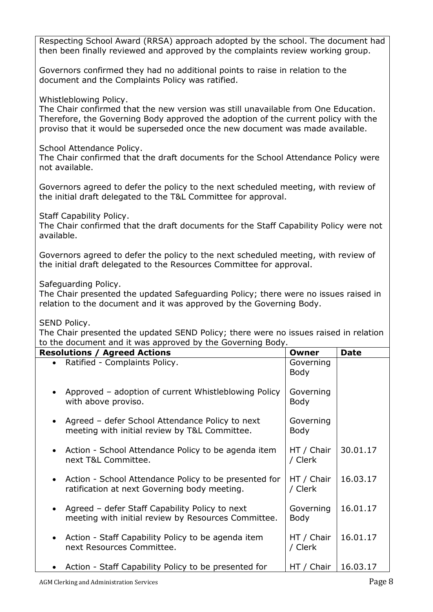Respecting School Award (RRSA) approach adopted by the school. The document had then been finally reviewed and approved by the complaints review working group.

Governors confirmed they had no additional points to raise in relation to the document and the Complaints Policy was ratified.

Whistleblowing Policy.

The Chair confirmed that the new version was still unavailable from One Education. Therefore, the Governing Body approved the adoption of the current policy with the proviso that it would be superseded once the new document was made available.

School Attendance Policy.

The Chair confirmed that the draft documents for the School Attendance Policy were not available.

Governors agreed to defer the policy to the next scheduled meeting, with review of the initial draft delegated to the T&L Committee for approval.

Staff Capability Policy.

The Chair confirmed that the draft documents for the Staff Capability Policy were not available.

Governors agreed to defer the policy to the next scheduled meeting, with review of the initial draft delegated to the Resources Committee for approval.

Safeguarding Policy.

The Chair presented the updated Safeguarding Policy; there were no issues raised in relation to the document and it was approved by the Governing Body.

SEND Policy.

The Chair presented the updated SEND Policy; there were no issues raised in relation to the document and it was approved by the Governing Body.

| <b>Resolutions / Agreed Actions</b>                                                                   | Owner                    | <b>Date</b> |
|-------------------------------------------------------------------------------------------------------|--------------------------|-------------|
| Ratified - Complaints Policy.                                                                         | Governing<br><b>Body</b> |             |
| Approved - adoption of current Whistleblowing Policy<br>with above proviso.                           | Governing<br><b>Body</b> |             |
| Agreed – defer School Attendance Policy to next<br>meeting with initial review by T&L Committee.      | Governing<br><b>Body</b> |             |
| • Action - School Attendance Policy to be agenda item<br>next T&L Committee.                          | HT / Chair<br>/ Clerk    | 30.01.17    |
| Action - School Attendance Policy to be presented for<br>ratification at next Governing body meeting. | HT / Chair<br>/ Clerk    | 16.03.17    |
| Agreed – defer Staff Capability Policy to next<br>meeting with initial review by Resources Committee. | Governing<br><b>Body</b> | 16.01.17    |
| Action - Staff Capability Policy to be agenda item<br>next Resources Committee.                       | HT / Chair<br>/ Clerk    | 16.01.17    |
| Action - Staff Capability Policy to be presented for                                                  | HT / Chair               | 16.03.17    |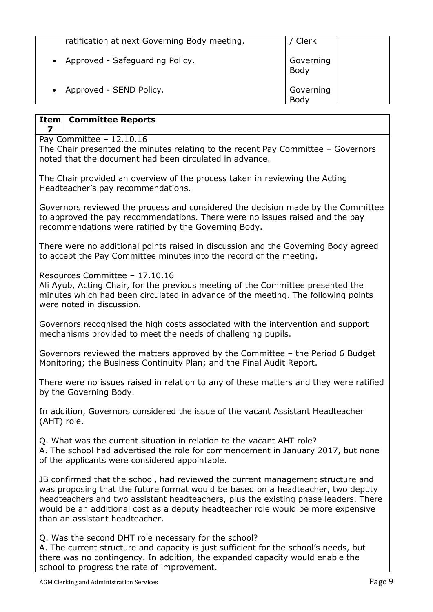| ratification at next Governing Body meeting. | ' Clerk           |
|----------------------------------------------|-------------------|
| Approved - Safeguarding Policy.              | Governing<br>Body |
| Approved - SEND Policy.                      | Governing<br>Body |

| Item<br><b>Committee Reports</b><br>7                                                                                                                                                                                               |
|-------------------------------------------------------------------------------------------------------------------------------------------------------------------------------------------------------------------------------------|
| Pay Committee $-12.10.16$<br>The Chair presented the minutes relating to the recent Pay Committee - Governors<br>noted that the document had been circulated in advance.                                                            |
| The Chair provided an overview of the process taken in reviewing the Acting<br>Headteacher's pay recommendations.                                                                                                                   |
| Governors reviewed the process and considered the decision made by the Committee<br>to approved the pay recommendations. There were no issues raised and the pay<br>recommendations were ratified by the Governing Body.            |
| There were no additional points raised in discussion and the Governing Body agreed<br>to accept the Pay Committee minutes into the record of the meeting.                                                                           |
| Resources Committee - 17.10.16<br>Ali Ayub, Acting Chair, for the previous meeting of the Committee presented the<br>minutes which had been circulated in advance of the meeting. The following points<br>were noted in discussion. |
| Governors recognised the high costs associated with the intervention and support<br>mechanisms provided to meet the needs of challenging pupils.                                                                                    |
| Governors reviewed the matters approved by the Committee - the Period 6 Budget<br>Monitoring; the Business Continuity Plan; and the Final Audit Report.                                                                             |
| There were no issues raised in relation to any of these matters and they were ratified<br>by the Governing Body.                                                                                                                    |
| In addition, Governors considered the issue of the vacant Assistant Headteacher<br>(AHT) role.                                                                                                                                      |

Q. What was the current situation in relation to the vacant AHT role? A. The school had advertised the role for commencement in January 2017, but none of the applicants were considered appointable.

JB confirmed that the school, had reviewed the current management structure and was proposing that the future format would be based on a headteacher, two deputy headteachers and two assistant headteachers, plus the existing phase leaders. There would be an additional cost as a deputy headteacher role would be more expensive than an assistant headteacher.

Q. Was the second DHT role necessary for the school?

A. The current structure and capacity is just sufficient for the school's needs, but there was no contingency. In addition, the expanded capacity would enable the school to progress the rate of improvement.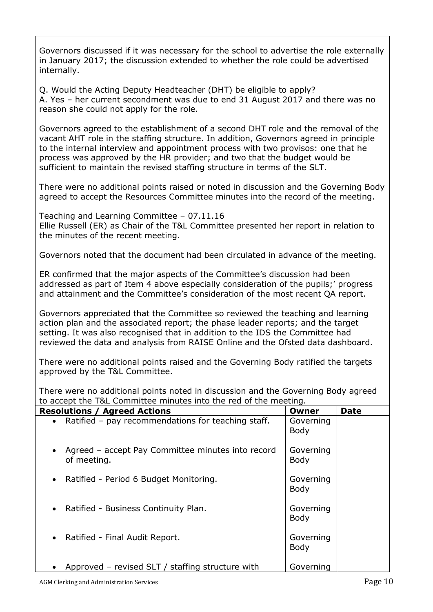Governors discussed if it was necessary for the school to advertise the role externally in January 2017; the discussion extended to whether the role could be advertised internally.

Q. Would the Acting Deputy Headteacher (DHT) be eligible to apply? A. Yes – her current secondment was due to end 31 August 2017 and there was no reason she could not apply for the role.

Governors agreed to the establishment of a second DHT role and the removal of the vacant AHT role in the staffing structure. In addition, Governors agreed in principle to the internal interview and appointment process with two provisos: one that he process was approved by the HR provider; and two that the budget would be sufficient to maintain the revised staffing structure in terms of the SLT.

There were no additional points raised or noted in discussion and the Governing Body agreed to accept the Resources Committee minutes into the record of the meeting.

Teaching and Learning Committee – 07.11.16 Ellie Russell (ER) as Chair of the T&L Committee presented her report in relation to the minutes of the recent meeting.

Governors noted that the document had been circulated in advance of the meeting.

ER confirmed that the major aspects of the Committee's discussion had been addressed as part of Item 4 above especially consideration of the pupils;' progress and attainment and the Committee's consideration of the most recent QA report.

Governors appreciated that the Committee so reviewed the teaching and learning action plan and the associated report; the phase leader reports; and the target setting. It was also recognised that in addition to the IDS the Committee had reviewed the data and analysis from RAISE Online and the Ofsted data dashboard.

There were no additional points raised and the Governing Body ratified the targets approved by the T&L Committee.

There were no additional points noted in discussion and the Governing Body agreed to accept the T&L Committee minutes into the red of the meeting.

| <b>Resolutions / Agreed Actions</b>                              | Owner             | <b>Date</b> |
|------------------------------------------------------------------|-------------------|-------------|
| Ratified - pay recommendations for teaching staff.<br>$\bullet$  | Governing<br>Body |             |
| Agreed - accept Pay Committee minutes into record<br>of meeting. | Governing<br>Body |             |
| Ratified - Period 6 Budget Monitoring.<br>$\bullet$              | Governing<br>Body |             |
| Ratified - Business Continuity Plan.<br>$\bullet$                | Governing<br>Body |             |
| Ratified - Final Audit Report.<br>$\bullet$                      | Governing<br>Body |             |
| Approved - revised SLT / staffing structure with                 | Governing         |             |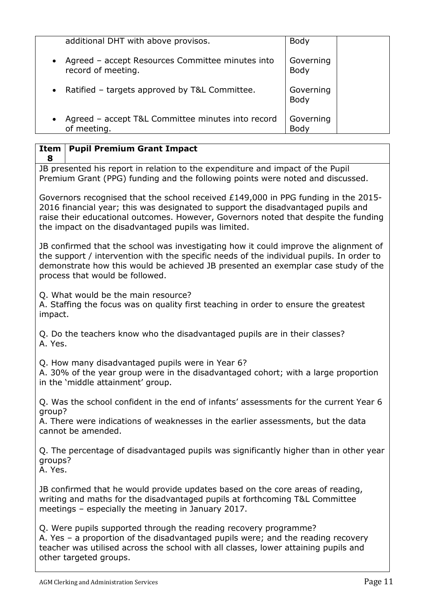|           | additional DHT with above provisos.                                    | Body                     |
|-----------|------------------------------------------------------------------------|--------------------------|
| $\bullet$ | Agreed – accept Resources Committee minutes into<br>record of meeting. | Governing<br><b>Body</b> |
| $\bullet$ | Ratified - targets approved by T&L Committee.                          | Governing<br>Body        |
|           | Agreed - accept T&L Committee minutes into record<br>of meeting.       | Governing<br><b>Bod</b>  |

#### **Item Pupil Premium Grant Impact**

**8** JB presented his report in relation to the expenditure and impact of the Pupil Premium Grant (PPG) funding and the following points were noted and discussed.

Governors recognised that the school received £149,000 in PPG funding in the 2015- 2016 financial year; this was designated to support the disadvantaged pupils and raise their educational outcomes. However, Governors noted that despite the funding the impact on the disadvantaged pupils was limited.

JB confirmed that the school was investigating how it could improve the alignment of the support / intervention with the specific needs of the individual pupils. In order to demonstrate how this would be achieved JB presented an exemplar case study of the process that would be followed.

Q. What would be the main resource?

A. Staffing the focus was on quality first teaching in order to ensure the greatest impact.

Q. Do the teachers know who the disadvantaged pupils are in their classes? A. Yes.

Q. How many disadvantaged pupils were in Year 6?

A. 30% of the year group were in the disadvantaged cohort; with a large proportion in the 'middle attainment' group.

Q. Was the school confident in the end of infants' assessments for the current Year 6 group?

A. There were indications of weaknesses in the earlier assessments, but the data cannot be amended.

Q. The percentage of disadvantaged pupils was significantly higher than in other year groups?

A. Yes.

JB confirmed that he would provide updates based on the core areas of reading, writing and maths for the disadvantaged pupils at forthcoming T&L Committee meetings – especially the meeting in January 2017.

Q. Were pupils supported through the reading recovery programme? A. Yes – a proportion of the disadvantaged pupils were; and the reading recovery teacher was utilised across the school with all classes, lower attaining pupils and other targeted groups.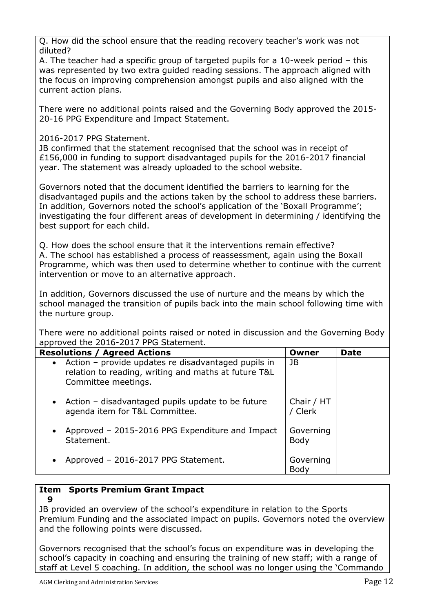Q. How did the school ensure that the reading recovery teacher's work was not diluted?

A. The teacher had a specific group of targeted pupils for a 10-week period – this was represented by two extra guided reading sessions. The approach aligned with the focus on improving comprehension amongst pupils and also aligned with the current action plans.

There were no additional points raised and the Governing Body approved the 2015- 20-16 PPG Expenditure and Impact Statement.

# 2016-2017 PPG Statement.

JB confirmed that the statement recognised that the school was in receipt of £156,000 in funding to support disadvantaged pupils for the 2016-2017 financial year. The statement was already uploaded to the school website.

Governors noted that the document identified the barriers to learning for the disadvantaged pupils and the actions taken by the school to address these barriers. In addition, Governors noted the school's application of the 'Boxall Programme'; investigating the four different areas of development in determining / identifying the best support for each child.

Q. How does the school ensure that it the interventions remain effective? A. The school has established a process of reassessment, again using the Boxall Programme, which was then used to determine whether to continue with the current intervention or move to an alternative approach.

In addition, Governors discussed the use of nurture and the means by which the school managed the transition of pupils back into the main school following time with the nurture group.

There were no additional points raised or noted in discussion and the Governing Body approved the 2016-2017 PPG Statement.

| <b>Resolutions / Agreed Actions</b>                                                                                                  | Owner                    | <b>Date</b> |
|--------------------------------------------------------------------------------------------------------------------------------------|--------------------------|-------------|
| • Action - provide updates re disadvantaged pupils in<br>relation to reading, writing and maths at future T&L<br>Committee meetings. | JB                       |             |
| • Action – disadvantaged pupils update to be future<br>agenda item for T&L Committee.                                                | Chair / HT<br>/ Clerk    |             |
| Approved - 2015-2016 PPG Expenditure and Impact<br>$\bullet$<br>Statement.                                                           | Governing<br><b>Body</b> |             |
| Approved - 2016-2017 PPG Statement.<br>$\bullet$                                                                                     | Governing<br>Body        |             |

#### **Item 9 Sports Premium Grant Impact**

JB provided an overview of the school's expenditure in relation to the Sports Premium Funding and the associated impact on pupils. Governors noted the overview and the following points were discussed.

Governors recognised that the school's focus on expenditure was in developing the school's capacity in coaching and ensuring the training of new staff; with a range of staff at Level 5 coaching. In addition, the school was no longer using the 'Commando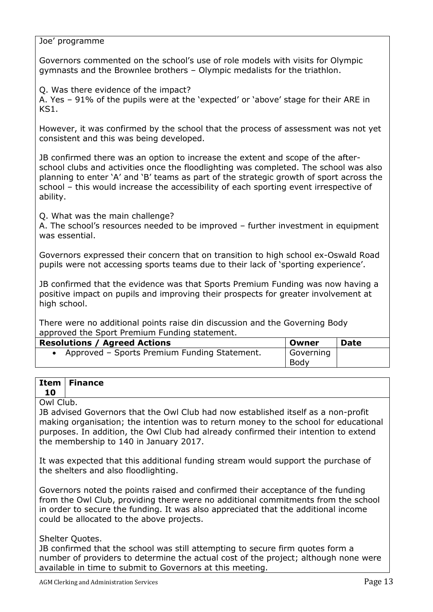### Joe' programme

Governors commented on the school's use of role models with visits for Olympic gymnasts and the Brownlee brothers – Olympic medalists for the triathlon.

Q. Was there evidence of the impact?

A. Yes – 91% of the pupils were at the 'expected' or 'above' stage for their ARE in KS1.

However, it was confirmed by the school that the process of assessment was not yet consistent and this was being developed.

JB confirmed there was an option to increase the extent and scope of the afterschool clubs and activities once the floodlighting was completed. The school was also planning to enter 'A' and 'B' teams as part of the strategic growth of sport across the school – this would increase the accessibility of each sporting event irrespective of ability.

Q. What was the main challenge?

A. The school's resources needed to be improved – further investment in equipment was essential.

Governors expressed their concern that on transition to high school ex-Oswald Road pupils were not accessing sports teams due to their lack of 'sporting experience'.

JB confirmed that the evidence was that Sports Premium Funding was now having a positive impact on pupils and improving their prospects for greater involvement at high school.

There were no additional points raise din discussion and the Governing Body approved the Sport Premium Funding statement.

| <b>Resolutions / Agreed Actions</b>            | . Owner   | <b>Date</b> |
|------------------------------------------------|-----------|-------------|
| • Approved - Sports Premium Funding Statement. | Governing |             |
|                                                | Body      |             |

#### **Item 10 Finance**

Owl Club.

JB advised Governors that the Owl Club had now established itself as a non-profit making organisation; the intention was to return money to the school for educational purposes. In addition, the Owl Club had already confirmed their intention to extend the membership to 140 in January 2017.

It was expected that this additional funding stream would support the purchase of the shelters and also floodlighting.

Governors noted the points raised and confirmed their acceptance of the funding from the Owl Club, providing there were no additional commitments from the school in order to secure the funding. It was also appreciated that the additional income could be allocated to the above projects.

# Shelter Quotes.

JB confirmed that the school was still attempting to secure firm quotes form a number of providers to determine the actual cost of the project; although none were available in time to submit to Governors at this meeting.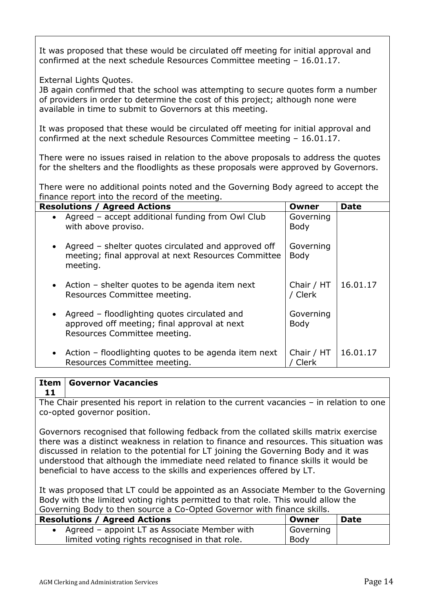It was proposed that these would be circulated off meeting for initial approval and confirmed at the next schedule Resources Committee meeting – 16.01.17.

### External Lights Quotes.

JB again confirmed that the school was attempting to secure quotes form a number of providers in order to determine the cost of this project; although none were available in time to submit to Governors at this meeting.

It was proposed that these would be circulated off meeting for initial approval and confirmed at the next schedule Resources Committee meeting – 16.01.17.

There were no issues raised in relation to the above proposals to address the quotes for the shelters and the floodlights as these proposals were approved by Governors.

There were no additional points noted and the Governing Body agreed to accept the finance report into the record of the meeting.

| <b>Resolutions / Agreed Actions</b>                                                                                            | <b>Owner</b>             | <b>Date</b> |
|--------------------------------------------------------------------------------------------------------------------------------|--------------------------|-------------|
| • Agreed – accept additional funding from Owl Club<br>with above proviso.                                                      | Governing<br><b>Body</b> |             |
| • Agreed – shelter quotes circulated and approved off<br>meeting; final approval at next Resources Committee<br>meeting.       | Governing<br><b>Body</b> |             |
| • Action – shelter quotes to be agenda item next<br>Resources Committee meeting.                                               | Chair / HT<br>/ Clerk    | 16.01.17    |
| • Agreed – floodlighting quotes circulated and<br>approved off meeting; final approval at next<br>Resources Committee meeting. | Governing<br><b>Body</b> |             |
| • Action – floodlighting quotes to be agenda item next<br>Resources Committee meeting.                                         | Chair / HT<br>Clerk      | 16.01.17    |

#### **Item 11 Governor Vacancies**

The Chair presented his report in relation to the current vacancies – in relation to one co-opted governor position.

Governors recognised that following fedback from the collated skills matrix exercise there was a distinct weakness in relation to finance and resources. This situation was discussed in relation to the potential for LT joining the Governing Body and it was understood that although the immediate need related to finance skills it would be beneficial to have access to the skills and experiences offered by LT.

It was proposed that LT could be appointed as an Associate Member to the Governing Body with the limited voting rights permitted to that role. This would allow the Governing Body to then source a Co-Opted Governor with finance skills.

| <b>Resolutions / Agreed Actions</b>            | . Owner   | <b>Date</b> |
|------------------------------------------------|-----------|-------------|
| • Agreed – appoint LT as Associate Member with | Governing |             |
| limited voting rights recognised in that role. | Body      |             |